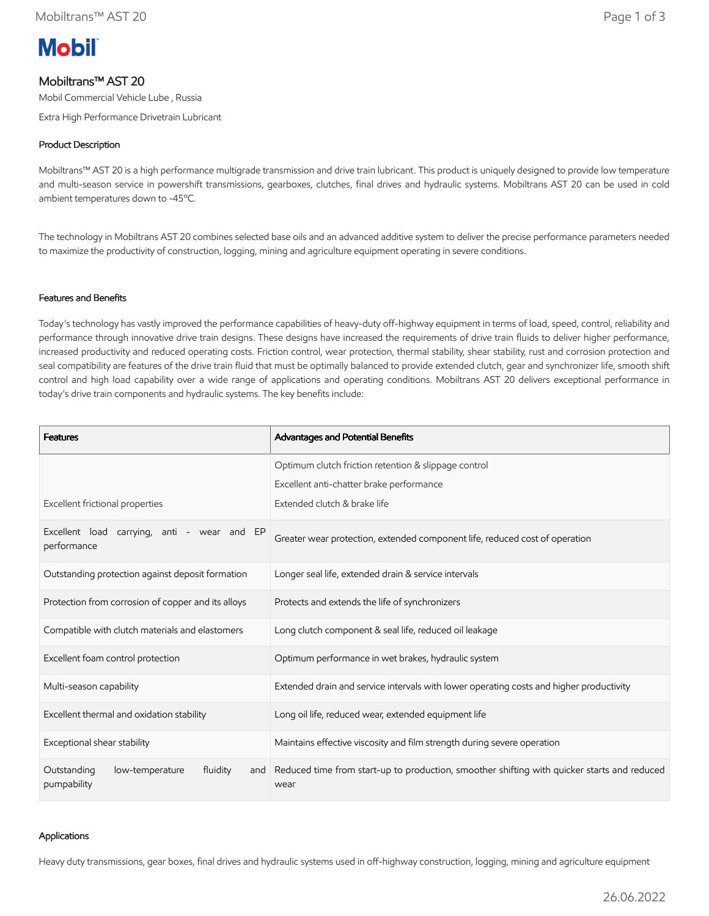

# Mobiltrans™ AST 20

Mobil Commercial Vehicle Lube , Russia

Extra High Performance Drivetrain Lubricant

## Product Description

Mobiltrans™ AST 20 is a high performance multigrade transmission and drive train lubricant. This product is uniquely designed to provide low temperature and multi-season service in powershift transmissions, gearboxes, clutches, final drives and hydraulic systems. Mobiltrans AST 20 can be used in cold ambient temperatures down to -45ºC.

The technology in Mobiltrans AST 20 combines selected base oils and an advanced additive system to deliver the precise performance parameters needed to maximize the productivity of construction, logging, mining and agriculture equipment operating in severe conditions.

#### Features and Benefits

Today's technology has vastly improved the performance capabilities of heavy-duty off-highway equipment in terms of load, speed, control, reliability and performance through innovative drive train designs. These designs have increased the requirements of drive train fluids to deliver higher performance, increased productivity and reduced operating costs. Friction control, wear protection, thermal stability, shear stability, rust and corrosion protection and seal compatibility are features of the drive train fluid that must be optimally balanced to provide extended clutch, gear and synchronizer life, smooth shift control and high load capability over a wide range of applications and operating conditions. Mobiltrans AST 20 delivers exceptional performance in today's drive train components and hydraulic systems. The key benefits include:

| <b>Features</b>                                                  | Advantages and Potential Benefits                                                                                                |  |
|------------------------------------------------------------------|----------------------------------------------------------------------------------------------------------------------------------|--|
| Excellent frictional properties                                  | Optimum clutch friction retention & slippage control<br>Excellent anti-chatter brake performance<br>Extended clutch & brake life |  |
| Excellent load carrying, anti - wear and EP<br>performance       | Greater wear protection, extended component life, reduced cost of operation                                                      |  |
| Outstanding protection against deposit formation                 | Longer seal life, extended drain & service intervals                                                                             |  |
| Protection from corrosion of copper and its alloys               | Protects and extends the life of synchronizers                                                                                   |  |
| Compatible with clutch materials and elastomers                  | Long clutch component & seal life, reduced oil leakage                                                                           |  |
| Excellent foam control protection                                | Optimum performance in wet brakes, hydraulic system                                                                              |  |
| Multi-season capability                                          | Extended drain and service intervals with lower operating costs and higher productivity                                          |  |
| Excellent thermal and oxidation stability                        | Long oil life, reduced wear, extended equipment life                                                                             |  |
| Exceptional shear stability                                      | Maintains effective viscosity and film strength during severe operation                                                          |  |
| Outstanding<br>fluidity<br>low-temperature<br>and<br>pumpability | Reduced time from start-up to production, smoother shifting with quicker starts and reduced<br>wear                              |  |

#### Applications

Heavy duty transmissions, gear boxes, final drives and hydraulic systems used in off-highway construction, logging, mining and agriculture equipment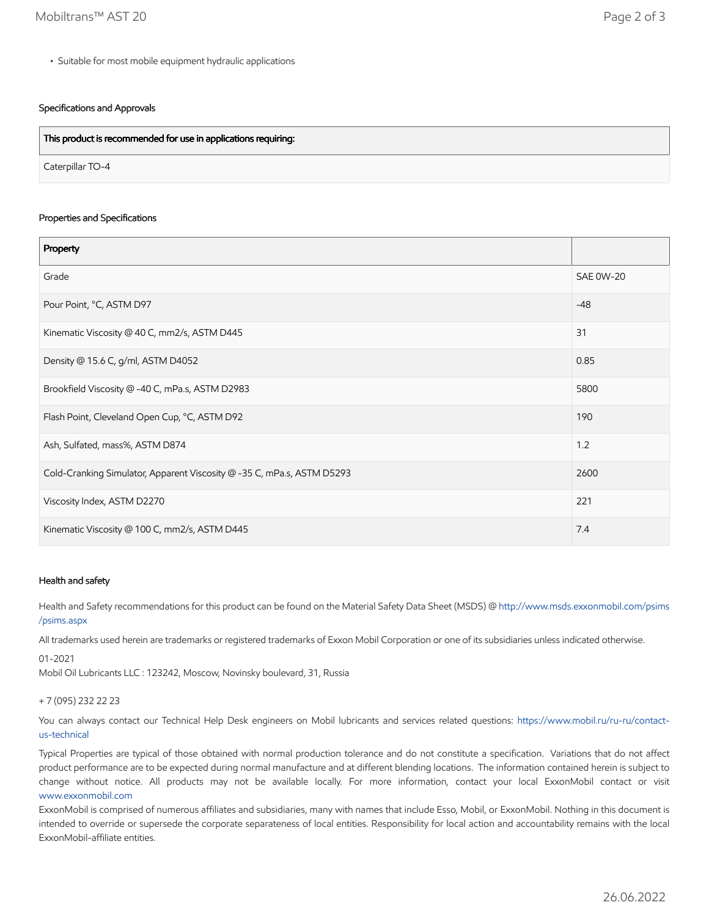• Suitable for most mobile equipment hydraulic applications

### Specifications and Approvals

| This product is recommended for use in applications requiring: |  |
|----------------------------------------------------------------|--|
| Caterpillar TO-4                                               |  |

#### Properties and Specifications

| Property                                                               |                  |
|------------------------------------------------------------------------|------------------|
| Grade                                                                  | <b>SAE 0W-20</b> |
| Pour Point, °C, ASTM D97                                               | $-48$            |
| Kinematic Viscosity @ 40 C, mm2/s, ASTM D445                           | 31               |
| Density @ 15.6 C, g/ml, ASTM D4052                                     | 0.85             |
| Brookfield Viscosity @ -40 C, mPa.s, ASTM D2983                        | 5800             |
| Flash Point, Cleveland Open Cup, °C, ASTM D92                          | 190              |
| Ash, Sulfated, mass%, ASTM D874                                        | 1.2              |
| Cold-Cranking Simulator, Apparent Viscosity @ -35 C, mPa.s, ASTM D5293 | 2600             |
| Viscosity Index, ASTM D2270                                            | 221              |
| Kinematic Viscosity @ 100 C, mm2/s, ASTM D445                          | 7.4              |

#### Health and safety

Health and Safety recommendations for this product can be found on the Material Safety Data Sheet (MSDS) @ [http://www.msds.exxonmobil.com/psims](http://www.msds.exxonmobil.com/psims/psims.aspx) /psims.aspx

All trademarks used herein are trademarks or registered trademarks of Exxon Mobil Corporation or one of its subsidiaries unless indicated otherwise.

01-2021

Mobil Oil Lubricants LLC : 123242, Moscow, Novinsky boulevard, 31, Russia

#### + 7 (095) 232 22 23

[You can always contact our Technical Help Desk engineers on Mobil lubricants and services related questions: https://www.mobil.ru/ru-ru/contact](https://www.mobil.ru/ru-ru/contact-us-technical)us-technical

Typical Properties are typical of those obtained with normal production tolerance and do not constitute a specification. Variations that do not affect product performance are to be expected during normal manufacture and at different blending locations. The information contained herein is subject to change without notice. All products may not be available locally. For more information, contact your local ExxonMobil contact or visit [www.exxonmobil.com](http://www.exxonmobil.com/)

ExxonMobil is comprised of numerous affiliates and subsidiaries, many with names that include Esso, Mobil, or ExxonMobil. Nothing in this document is intended to override or supersede the corporate separateness of local entities. Responsibility for local action and accountability remains with the local ExxonMobil-affiliate entities.